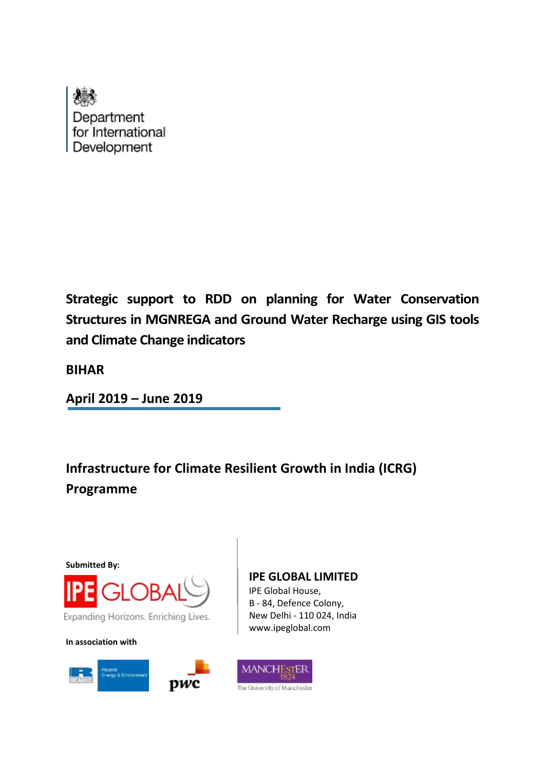

**Strategic support to RDD on planning for Water Conservation Structures in MGNREGA and Ground Water Recharge using GIS tools and Climate Change indicators**

**BIHAR**

**April 2019 – June 2019**

**Infrastructure for Climate Resilient Growth in India (ICRG) Programme**



**In association with**



# **IPE GLOBAL LIMITED**

IPE Global House, B - 84, Defence Colony, New Delhi - 110 024, India www.ipeglobal.com

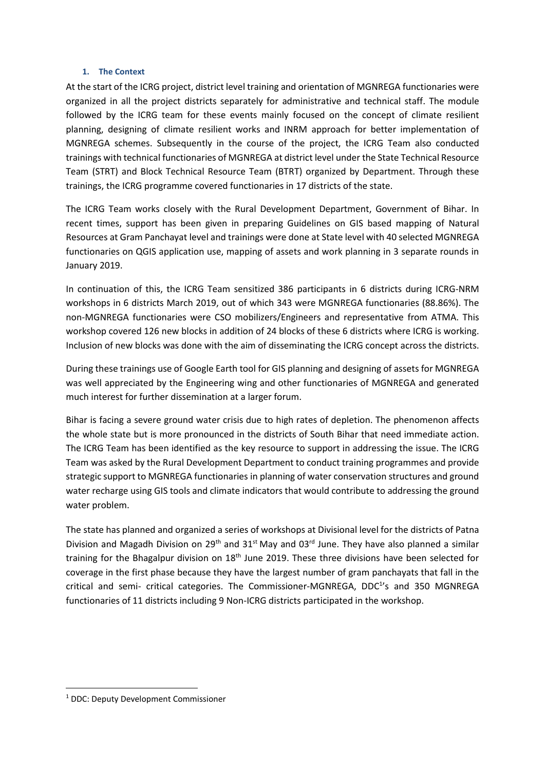#### **1. The Context**

At the start of the ICRG project, district level training and orientation of MGNREGA functionaries were organized in all the project districts separately for administrative and technical staff. The module followed by the ICRG team for these events mainly focused on the concept of climate resilient planning, designing of climate resilient works and INRM approach for better implementation of MGNREGA schemes. Subsequently in the course of the project, the ICRG Team also conducted trainings with technical functionaries of MGNREGA at district level under the State Technical Resource Team (STRT) and Block Technical Resource Team (BTRT) organized by Department. Through these trainings, the ICRG programme covered functionaries in 17 districts of the state.

The ICRG Team works closely with the Rural Development Department, Government of Bihar. In recent times, support has been given in preparing Guidelines on GIS based mapping of Natural Resources at Gram Panchayat level and trainings were done at State level with 40 selected MGNREGA functionaries on QGIS application use, mapping of assets and work planning in 3 separate rounds in January 2019.

In continuation of this, the ICRG Team sensitized 386 participants in 6 districts during ICRG-NRM workshops in 6 districts March 2019, out of which 343 were MGNREGA functionaries (88.86%). The non-MGNREGA functionaries were CSO mobilizers/Engineers and representative from ATMA. This workshop covered 126 new blocks in addition of 24 blocks of these 6 districts where ICRG is working. Inclusion of new blocks was done with the aim of disseminating the ICRG concept across the districts.

During these trainings use of Google Earth tool for GIS planning and designing of assets for MGNREGA was well appreciated by the Engineering wing and other functionaries of MGNREGA and generated much interest for further dissemination at a larger forum.

Bihar is facing a severe ground water crisis due to high rates of depletion. The phenomenon affects the whole state but is more pronounced in the districts of South Bihar that need immediate action. The ICRG Team has been identified as the key resource to support in addressing the issue. The ICRG Team was asked by the Rural Development Department to conduct training programmes and provide strategic support to MGNREGA functionaries in planning of water conservation structures and ground water recharge using GIS tools and climate indicators that would contribute to addressing the ground water problem.

The state has planned and organized a series of workshops at Divisional level for the districts of Patna Division and Magadh Division on 29<sup>th</sup> and 31<sup>st</sup> May and 03<sup>rd</sup> June. They have also planned a similar training for the Bhagalpur division on 18<sup>th</sup> June 2019. These three divisions have been selected for coverage in the first phase because they have the largest number of gram panchayats that fall in the critical and semi- critical categories. The Commissioner-MGNREGA, DDC<sup>1</sup>'s and 350 MGNREGA functionaries of 11 districts including 9 Non-ICRG districts participated in the workshop.

**.** 

<sup>1</sup> DDC: Deputy Development Commissioner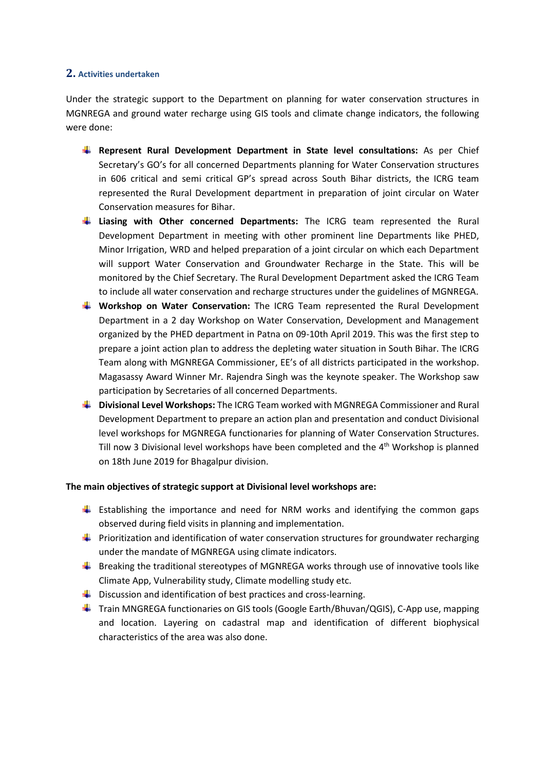### **2. Activities undertaken**

Under the strategic support to the Department on planning for water conservation structures in MGNREGA and ground water recharge using GIS tools and climate change indicators, the following were done:

- **Represent Rural Development Department in State level consultations:** As per Chief Secretary's GO's for all concerned Departments planning for Water Conservation structures in 606 critical and semi critical GP's spread across South Bihar districts, the ICRG team represented the Rural Development department in preparation of joint circular on Water Conservation measures for Bihar.
- **Liasing with Other concerned Departments:** The ICRG team represented the Rural Development Department in meeting with other prominent line Departments like PHED, Minor Irrigation, WRD and helped preparation of a joint circular on which each Department will support Water Conservation and Groundwater Recharge in the State. This will be monitored by the Chief Secretary. The Rural Development Department asked the ICRG Team to include all water conservation and recharge structures under the guidelines of MGNREGA.
- **Workshop on Water Conservation:** The ICRG Team represented the Rural Development Department in a 2 day Workshop on Water Conservation, Development and Management organized by the PHED department in Patna on 09-10th April 2019. This was the first step to prepare a joint action plan to address the depleting water situation in South Bihar. The ICRG Team along with MGNREGA Commissioner, EE's of all districts participated in the workshop. Magasassy Award Winner Mr. Rajendra Singh was the keynote speaker. The Workshop saw participation by Secretaries of all concerned Departments.
- **Divisional Level Workshops:** The ICRG Team worked with MGNREGA Commissioner and Rural Development Department to prepare an action plan and presentation and conduct Divisional level workshops for MGNREGA functionaries for planning of Water Conservation Structures. Till now 3 Divisional level workshops have been completed and the 4<sup>th</sup> Workshop is planned on 18th June 2019 for Bhagalpur division.

#### **The main objectives of strategic support at Divisional level workshops are:**

- **Establishing the importance and need for NRM works and identifying the common gaps** observed during field visits in planning and implementation.
- **Prioritization and identification of water conservation structures for groundwater recharging** under the mandate of MGNREGA using climate indicators.
- $\ddot{\phantom{1}}$  Breaking the traditional stereotypes of MGNREGA works through use of innovative tools like Climate App, Vulnerability study, Climate modelling study etc.
- $\ddot{\phantom{1}}$  Discussion and identification of best practices and cross-learning.
- Train MNGREGA functionaries on GIS tools (Google Earth/Bhuvan/QGIS), C-App use, mapping and location. Layering on cadastral map and identification of different biophysical characteristics of the area was also done.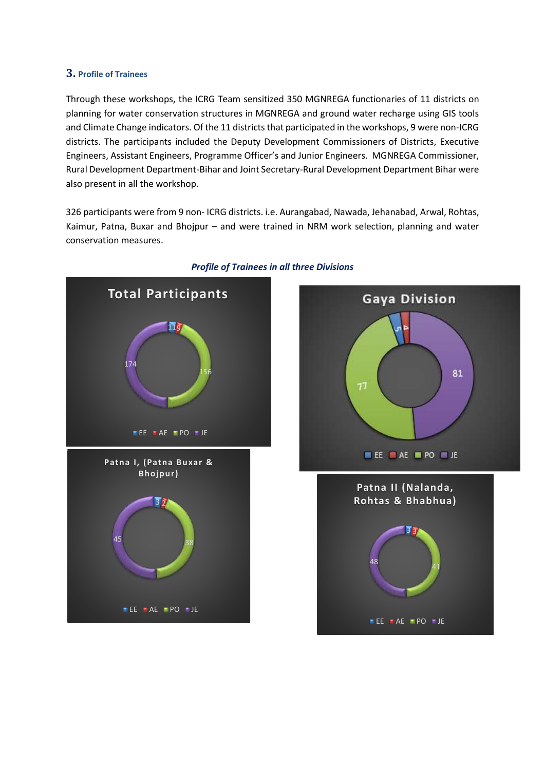### **3. Profile of Trainees**

Through these workshops, the ICRG Team sensitized 350 MGNREGA functionaries of 11 districts on planning for water conservation structures in MGNREGA and ground water recharge using GIS tools and Climate Change indicators. Of the 11 districts that participated in the workshops, 9 were non-ICRG districts. The participants included the Deputy Development Commissioners of Districts, Executive Engineers, Assistant Engineers, Programme Officer's and Junior Engineers. MGNREGA Commissioner, Rural Development Department-Bihar and Joint Secretary-Rural Development Department Bihar were also present in all the workshop.

326 participants were from 9 non- ICRG districts. i.e. Aurangabad, Nawada, Jehanabad, Arwal, Rohtas, Kaimur, Patna, Buxar and Bhojpur – and were trained in NRM work selection, planning and water conservation measures.



### *Profile of Trainees in all three Divisions*

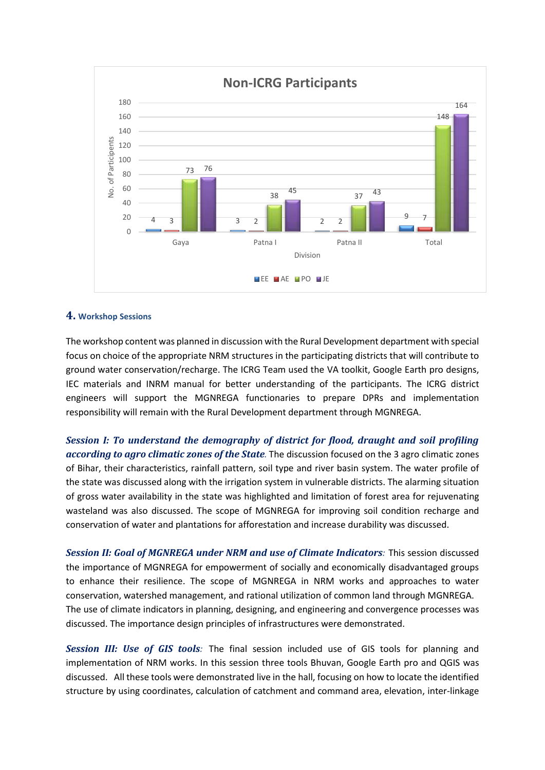

#### **4. Workshop Sessions**

The workshop content was planned in discussion with the Rural Development department with special focus on choice of the appropriate NRM structures in the participating districts that will contribute to ground water conservation/recharge. The ICRG Team used the VA toolkit, Google Earth pro designs, IEC materials and INRM manual for better understanding of the participants. The ICRG district engineers will support the MGNREGA functionaries to prepare DPRs and implementation responsibility will remain with the Rural Development department through MGNREGA.

*Session I: To understand the demography of district for flood, draught and soil profiling according to agro climatic zones of the State.* The discussion focused on the 3 agro climatic zones of Bihar, their characteristics, rainfall pattern, soil type and river basin system. The water profile of the state was discussed along with the irrigation system in vulnerable districts. The alarming situation of gross water availability in the state was highlighted and limitation of forest area for rejuvenating wasteland was also discussed. The scope of MGNREGA for improving soil condition recharge and conservation of water and plantations for afforestation and increase durability was discussed.

*Session II: Goal of MGNREGA under NRM and use of Climate Indicators:* This session discussed the importance of MGNREGA for empowerment of socially and economically disadvantaged groups to enhance their resilience. The scope of MGNREGA in NRM works and approaches to water conservation, watershed management, and rational utilization of common land through MGNREGA. The use of climate indicators in planning, designing, and engineering and convergence processes was discussed. The importance design principles of infrastructures were demonstrated.

*Session III: Use of GIS tools:* The final session included use of GIS tools for planning and implementation of NRM works. In this session three tools Bhuvan, Google Earth pro and QGIS was discussed. All these tools were demonstrated live in the hall, focusing on how to locate the identified structure by using coordinates, calculation of catchment and command area, elevation, inter-linkage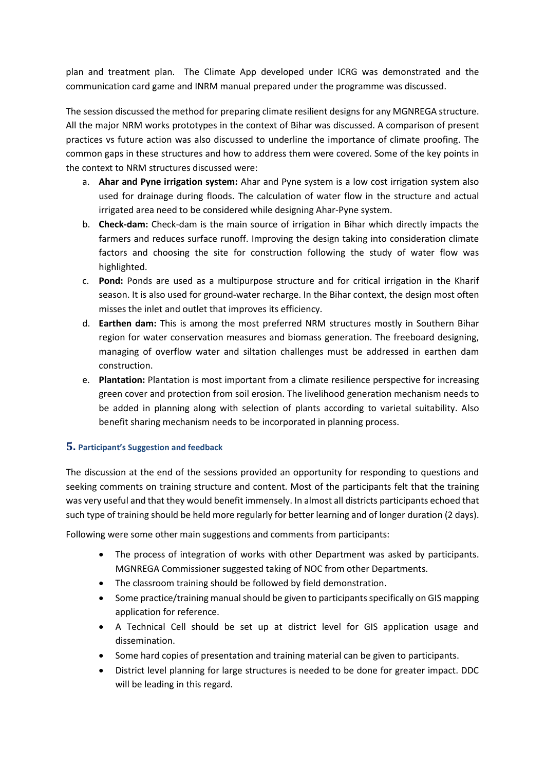plan and treatment plan. The Climate App developed under ICRG was demonstrated and the communication card game and INRM manual prepared under the programme was discussed.

The session discussed the method for preparing climate resilient designs for any MGNREGA structure. All the major NRM works prototypes in the context of Bihar was discussed. A comparison of present practices vs future action was also discussed to underline the importance of climate proofing. The common gaps in these structures and how to address them were covered. Some of the key points in the context to NRM structures discussed were:

- a. **Ahar and Pyne irrigation system:** Ahar and Pyne system is a low cost irrigation system also used for drainage during floods. The calculation of water flow in the structure and actual irrigated area need to be considered while designing Ahar-Pyne system.
- b. **Check-dam:** Check-dam is the main source of irrigation in Bihar which directly impacts the farmers and reduces surface runoff. Improving the design taking into consideration climate factors and choosing the site for construction following the study of water flow was highlighted.
- c. **Pond:** Ponds are used as a multipurpose structure and for critical irrigation in the Kharif season. It is also used for ground-water recharge. In the Bihar context, the design most often misses the inlet and outlet that improves its efficiency.
- d. **Earthen dam:** This is among the most preferred NRM structures mostly in Southern Bihar region for water conservation measures and biomass generation. The freeboard designing, managing of overflow water and siltation challenges must be addressed in earthen dam construction.
- e. **Plantation:** Plantation is most important from a climate resilience perspective for increasing green cover and protection from soil erosion. The livelihood generation mechanism needs to be added in planning along with selection of plants according to varietal suitability. Also benefit sharing mechanism needs to be incorporated in planning process.

### **5. Participant's Suggestion and feedback**

The discussion at the end of the sessions provided an opportunity for responding to questions and seeking comments on training structure and content. Most of the participants felt that the training was very useful and that they would benefit immensely. In almost all districts participants echoed that such type of training should be held more regularly for better learning and of longer duration (2 days).

Following were some other main suggestions and comments from participants:

- The process of integration of works with other Department was asked by participants. MGNREGA Commissioner suggested taking of NOC from other Departments.
- The classroom training should be followed by field demonstration.
- Some practice/training manual should be given to participants specifically on GIS mapping application for reference.
- A Technical Cell should be set up at district level for GIS application usage and dissemination.
- Some hard copies of presentation and training material can be given to participants.
- District level planning for large structures is needed to be done for greater impact. DDC will be leading in this regard.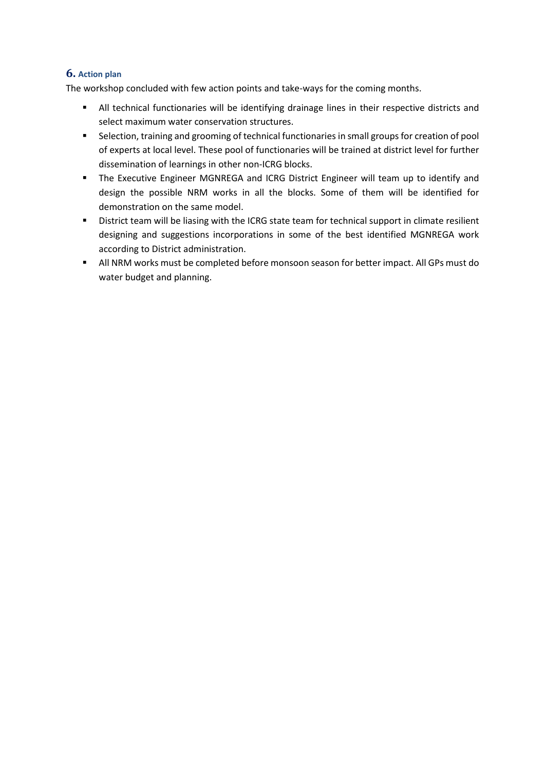### **6. Action plan**

The workshop concluded with few action points and take-ways for the coming months.

- **■** All technical functionaries will be identifying drainage lines in their respective districts and select maximum water conservation structures.
- Selection, training and grooming of technical functionaries in small groups for creation of pool of experts at local level. These pool of functionaries will be trained at district level for further dissemination of learnings in other non-ICRG blocks.
- **■** The Executive Engineer MGNREGA and ICRG District Engineer will team up to identify and design the possible NRM works in all the blocks. Some of them will be identified for demonstration on the same model.
- **EXECUTE:** District team will be liasing with the ICRG state team for technical support in climate resilient designing and suggestions incorporations in some of the best identified MGNREGA work according to District administration.
- All NRM works must be completed before monsoon season for better impact. All GPs must do water budget and planning.